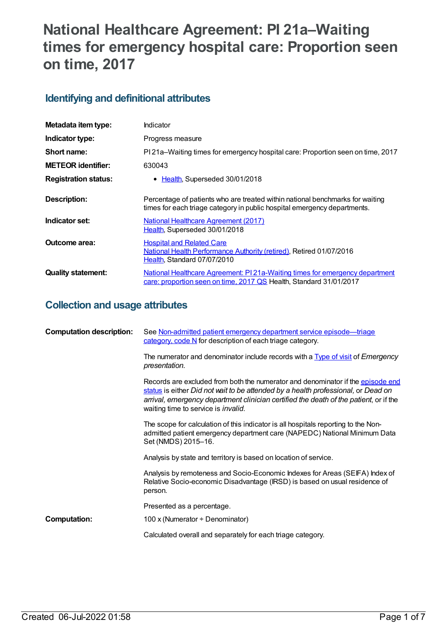# **National Healthcare Agreement: PI 21a–Waiting times for emergency hospital care: Proportion seen on time, 2017**

# **Identifying and definitional attributes**

| Metadata item type:         | <b>Indicator</b>                                                                                                                                          |
|-----------------------------|-----------------------------------------------------------------------------------------------------------------------------------------------------------|
| Indicator type:             | Progress measure                                                                                                                                          |
| Short name:                 | PI21a–Waiting times for emergency hospital care: Proportion seen on time, 2017                                                                            |
| <b>METEOR identifier:</b>   | 630043                                                                                                                                                    |
| <b>Registration status:</b> | • Health, Superseded 30/01/2018                                                                                                                           |
| <b>Description:</b>         | Percentage of patients who are treated within national benchmarks for waiting<br>times for each triage category in public hospital emergency departments. |
| Indicator set:              | <b>National Healthcare Agreement (2017)</b><br>Health, Superseded 30/01/2018                                                                              |
| Outcome area:               | <b>Hospital and Related Care</b><br>National Health Performance Authority (retired), Retired 01/07/2016<br>Health, Standard 07/07/2010                    |
| <b>Quality statement:</b>   | National Healthcare Agreement: PI21a-Waiting times for emergency department<br>care: proportion seen on time, 2017 QS Health, Standard 31/01/2017         |

# **Collection and usage attributes**

| <b>Computation description:</b> | See Non-admitted patient emergency department service episode-triage<br>category, code N for description of each triage category.                                                                                                                                                                            |
|---------------------------------|--------------------------------------------------------------------------------------------------------------------------------------------------------------------------------------------------------------------------------------------------------------------------------------------------------------|
|                                 | The numerator and denominator include records with a <b>Type of visit of Emergency</b><br>presentation.                                                                                                                                                                                                      |
|                                 | Records are excluded from both the numerator and denominator if the episode end<br>status is either Did not wait to be attended by a health professional, or Dead on<br>arrival, emergency department clinician certified the death of the patient, or if the<br>waiting time to service is <i>invalid</i> . |
|                                 | The scope for calculation of this indicator is all hospitals reporting to the Non-<br>admitted patient emergency department care (NAPEDC) National Minimum Data<br>Set (NMDS) 2015-16.                                                                                                                       |
|                                 | Analysis by state and territory is based on location of service.                                                                                                                                                                                                                                             |
|                                 | Analysis by remoteness and Socio-Economic Indexes for Areas (SEIFA) Index of<br>Relative Socio-economic Disadvantage (IRSD) is based on usual residence of<br>person.                                                                                                                                        |
|                                 | Presented as a percentage.                                                                                                                                                                                                                                                                                   |
| <b>Computation:</b>             | 100 x (Numerator $\div$ Denominator)                                                                                                                                                                                                                                                                         |
|                                 | Calculated overall and separately for each triage category.                                                                                                                                                                                                                                                  |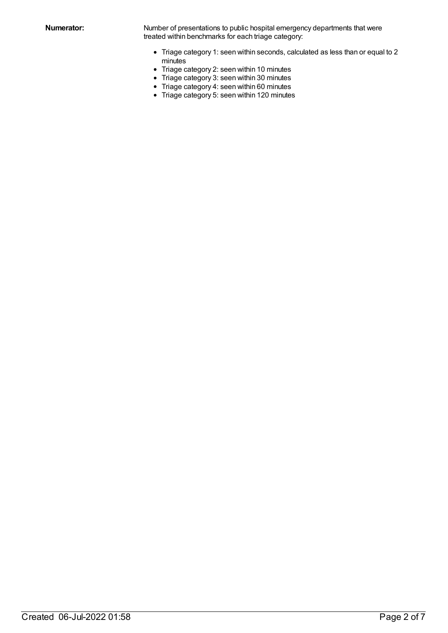**Numerator:** Number of presentations to public hospital emergency departments that were treated within benchmarks for each triage category:

- Triage category 1: seen within seconds, calculated as less than or equal to 2 minutes
- Triage category 2: seen within 10 minutes
- Triage category 3: seen within 30 minutes
- Triage category 4: seen within 60 minutes
- Triage category 5: seen within 120 minutes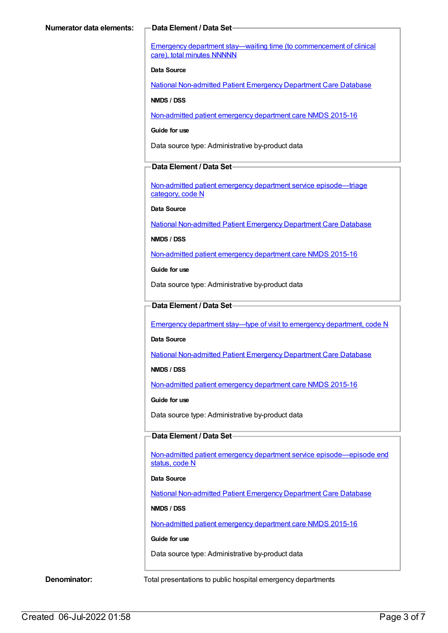Emergency department stay—waiting time (to [commencement](https://meteor.aihw.gov.au/content/471932) of clinical care), total minutes NNNNN

#### **Data Source**

National [Non-admitted](https://meteor.aihw.gov.au/content/394733) Patient Emergency Department Care Database

## **NMDS / DSS**

[Non-admitted](https://meteor.aihw.gov.au/content/588932) patient emergency department care NMDS 2015-16

### **Guide for use**

Data source type: Administrative by-product data

# **Data Element / Data Set**

Non-admitted patient emergency department service [episode—triage](https://meteor.aihw.gov.au/content/474185) category, code N

**Data Source**

National [Non-admitted](https://meteor.aihw.gov.au/content/394733) Patient Emergency Department Care Database

**NMDS / DSS**

[Non-admitted](https://meteor.aihw.gov.au/content/588932) patient emergency department care NMDS 2015-16

**Guide for use**

Data source type: Administrative by-product data

# **Data Element / Data Set**

Emergency department stay—type of visit to emergency [department,](https://meteor.aihw.gov.au/content/495958) code N

# **Data Source**

National [Non-admitted](https://meteor.aihw.gov.au/content/394733) Patient Emergency Department Care Database

**NMDS / DSS**

[Non-admitted](https://meteor.aihw.gov.au/content/588932) patient emergency department care NMDS 2015-16

**Guide for use**

Data source type: Administrative by-product data

# **Data Element / Data Set**

Non-admitted patient emergency department service [episode—episode](https://meteor.aihw.gov.au/content/616654) end status, code N

# **Data Source**

National [Non-admitted](https://meteor.aihw.gov.au/content/394733) Patient Emergency Department Care Database

# **NMDS / DSS**

[Non-admitted](https://meteor.aihw.gov.au/content/588932) patient emergency department care NMDS 2015-16

**Guide for use**

Data source type: Administrative by-product data

**Denominator:** Total presentations to public hospital emergency departments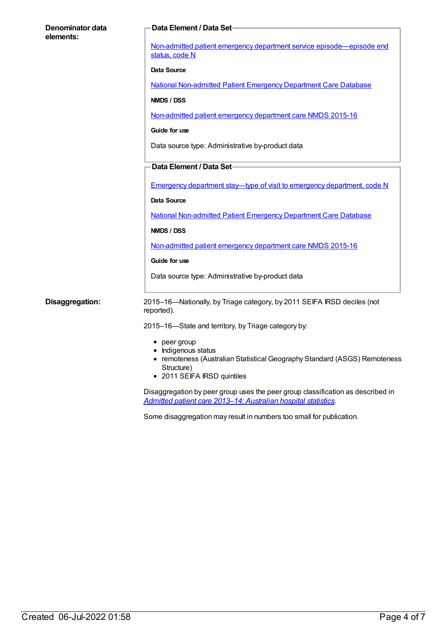| Denominator data | Data Element / Data Set-                                                                                                                                    |
|------------------|-------------------------------------------------------------------------------------------------------------------------------------------------------------|
| elements:        | Non-admitted patient emergency department service episode-episode end<br>status, code N                                                                     |
|                  | Data Source                                                                                                                                                 |
|                  | <b>National Non-admitted Patient Emergency Department Care Database</b>                                                                                     |
|                  | NMDS / DSS                                                                                                                                                  |
|                  | Non-admitted patient emergency department care NMDS 2015-16                                                                                                 |
|                  | Guide for use                                                                                                                                               |
|                  | Data source type: Administrative by-product data                                                                                                            |
|                  | Data Element / Data Set-                                                                                                                                    |
|                  |                                                                                                                                                             |
|                  | <b>Emergency department stay—type of visit to emergency department, code N</b>                                                                              |
|                  | <b>Data Source</b>                                                                                                                                          |
|                  | National Non-admitted Patient Emergency Department Care Database                                                                                            |
|                  | NMDS / DSS                                                                                                                                                  |
|                  | Non-admitted patient emergency department care NMDS 2015-16                                                                                                 |
|                  | Guide for use                                                                                                                                               |
|                  | Data source type: Administrative by-product data                                                                                                            |
| Disaggregation:  | 2015-16-Nationally, by Triage category, by 2011 SEIFA IRSD deciles (not<br>reported).                                                                       |
|                  | 2015-16-State and territory, by Triage category by:                                                                                                         |
|                  | peer group<br>• Indigenous status<br>• remoteness (Australian Statistical Geography Standard (ASGS) Remoteness<br>Structure)<br>• 2011 SEIFA IRSD quintiles |
|                  | Disaggregation by peer group uses the peer group classification as described in<br>Admitted patient care 2013-14: Australian hospital statistics.           |
|                  | Some disaggregation may result in numbers too small for publication.                                                                                        |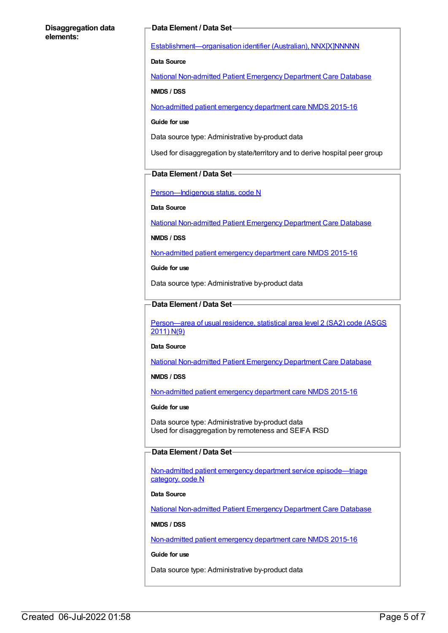# **Disaggregation data elements:**

# **Data Element / Data Set**

[Establishment—organisation](https://meteor.aihw.gov.au/content/269973) identifier (Australian), NNX[X]NNNNN

**Data Source**

National [Non-admitted](https://meteor.aihw.gov.au/content/394733) Patient Emergency Department Care Database

**NMDS / DSS**

[Non-admitted](https://meteor.aihw.gov.au/content/588932) patient emergency department care NMDS 2015-16

## **Guide for use**

Data source type: Administrative by-product data

Used for disaggregation by state/territory and to derive hospital peer group

# **Data Element / Data Set**

[Person—Indigenous](https://meteor.aihw.gov.au/content/291036) status, code N

**Data Source**

National [Non-admitted](https://meteor.aihw.gov.au/content/394733) Patient Emergency Department Care Database

**NMDS / DSS**

[Non-admitted](https://meteor.aihw.gov.au/content/588932) patient emergency department care NMDS 2015-16

**Guide for use**

Data source type: Administrative by-product data

# **Data Element / Data Set**

[Person—area](https://meteor.aihw.gov.au/content/469909) of usual residence, statistical area level 2 (SA2) code (ASGS 2011) N(9)

#### **Data Source**

National [Non-admitted](https://meteor.aihw.gov.au/content/394733) Patient Emergency Department Care Database

#### **NMDS / DSS**

[Non-admitted](https://meteor.aihw.gov.au/content/588932) patient emergency department care NMDS 2015-16

**Guide for use**

Data source type: Administrative by-product data Used for disaggregation by remoteness and SEIFA IRSD

# **Data Element / Data Set**

Non-admitted patient emergency department service [episode—triage](https://meteor.aihw.gov.au/content/474185) category, code N

# **Data Source**

National [Non-admitted](https://meteor.aihw.gov.au/content/394733) Patient Emergency Department Care Database

**NMDS / DSS**

[Non-admitted](https://meteor.aihw.gov.au/content/588932) patient emergency department care NMDS 2015-16

## **Guide for use**

Data source type: Administrative by-product data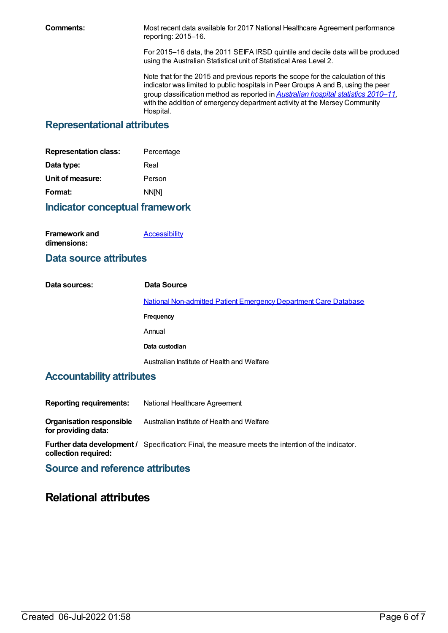**Comments:** Most recent data available for 2017 National Healthcare Agreement performance reporting: 2015–16.

> For 2015–16 data, the 2011 SEIFA IRSD quintile and decile data will be produced using the Australian Statistical unit of Statistical Area Level 2.

> Note that for the 2015 and previous reports the scope for the calculation of this indicator was limited to public hospitals in Peer Groups A and B, using the peer group classification method as reported in *[Australian](http://www.aihw.gov.au/publication-detail/?id=10737421633) hospital statistics 2010–11*, with the addition of emergency department activity at the Mersey Community Hospital.

# **Representational attributes**

| <b>Representation class:</b> | Percentage |
|------------------------------|------------|
| Data type:                   | Real       |
| Unit of measure:             | Person     |
| Format:                      | NN[N]      |
|                              |            |

# **Indicator conceptual framework**

| Framework and | <b>Accessibility</b> |
|---------------|----------------------|
| dimensions:   |                      |

# **Data source attributes**

| Data sources: | Data Source                                                             |  |
|---------------|-------------------------------------------------------------------------|--|
|               | <b>National Non-admitted Patient Emergency Department Care Database</b> |  |
|               | Frequency                                                               |  |
|               | Annual                                                                  |  |
|               | Data custodian                                                          |  |
|               | Australian Institute of Health and Welfare                              |  |

# **Accountability attributes**

| <b>Reporting requirements:</b>                  | National Healthcare Agreement              |
|-------------------------------------------------|--------------------------------------------|
| Organisation responsible<br>for providing data: | Australian Institute of Health and Welfare |

**Further data development /** Specification: Final, the measure meets the intention of the indicator. **collection required:**

# **Source and reference attributes**

# **Relational attributes**